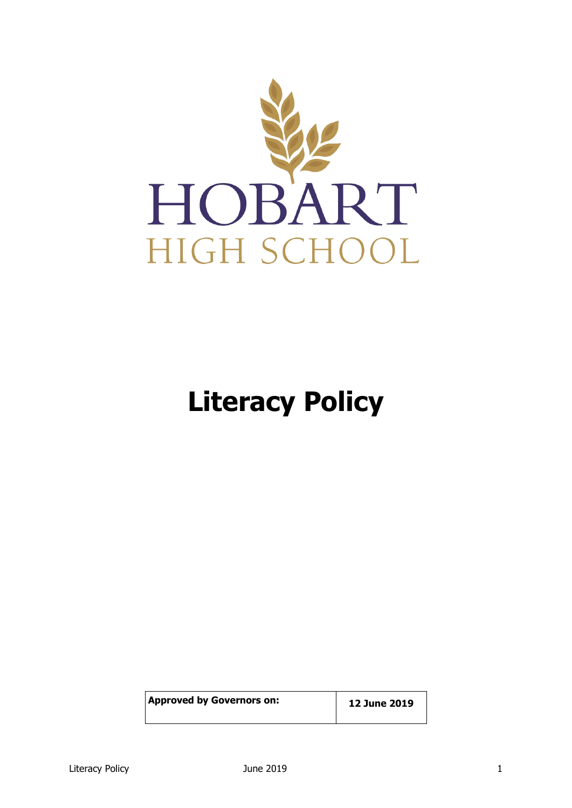

# **Literacy Policy**

| <b>Approved by Governors on:</b> | 12 June 2019 |
|----------------------------------|--------------|
|                                  |              |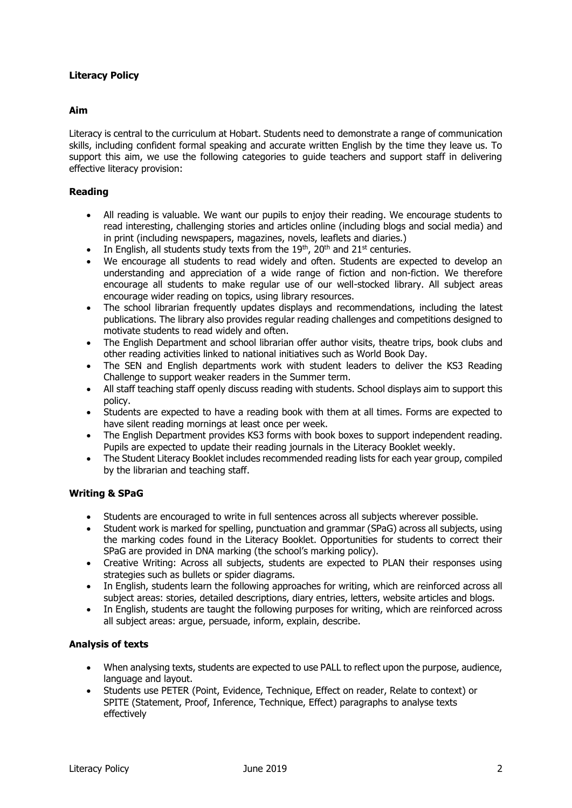# **Literacy Policy**

### **Aim**

Literacy is central to the curriculum at Hobart. Students need to demonstrate a range of communication skills, including confident formal speaking and accurate written English by the time they leave us. To support this aim, we use the following categories to guide teachers and support staff in delivering effective literacy provision:

### **Reading**

- All reading is valuable. We want our pupils to enjoy their reading. We encourage students to read interesting, challenging stories and articles online (including blogs and social media) and in print (including newspapers, magazines, novels, leaflets and diaries.)
- In English, all students study texts from the  $19<sup>th</sup>$ , 20<sup>th</sup> and 21<sup>st</sup> centuries.
- We encourage all students to read widely and often. Students are expected to develop an understanding and appreciation of a wide range of fiction and non-fiction. We therefore encourage all students to make regular use of our well-stocked library. All subject areas encourage wider reading on topics, using library resources.
- The school librarian frequently updates displays and recommendations, including the latest publications. The library also provides regular reading challenges and competitions designed to motivate students to read widely and often.
- The English Department and school librarian offer author visits, theatre trips, book clubs and other reading activities linked to national initiatives such as World Book Day.
- The SEN and English departments work with student leaders to deliver the KS3 Reading Challenge to support weaker readers in the Summer term.
- All staff teaching staff openly discuss reading with students. School displays aim to support this policy.
- Students are expected to have a reading book with them at all times. Forms are expected to have silent reading mornings at least once per week.
- The English Department provides KS3 forms with book boxes to support independent reading. Pupils are expected to update their reading journals in the Literacy Booklet weekly.
- The Student Literacy Booklet includes recommended reading lists for each year group, compiled by the librarian and teaching staff.

### **Writing & SPaG**

- Students are encouraged to write in full sentences across all subjects wherever possible.
- Student work is marked for spelling, punctuation and grammar (SPaG) across all subjects, using the marking codes found in the Literacy Booklet. Opportunities for students to correct their SPaG are provided in DNA marking (the school's marking policy).
- Creative Writing: Across all subjects, students are expected to PLAN their responses using strategies such as bullets or spider diagrams.
- In English, students learn the following approaches for writing, which are reinforced across all subject areas: stories, detailed descriptions, diary entries, letters, website articles and blogs.
- In English, students are taught the following purposes for writing, which are reinforced across all subject areas: argue, persuade, inform, explain, describe.

#### **Analysis of texts**

- When analysing texts, students are expected to use PALL to reflect upon the purpose, audience, language and layout.
- Students use PETER (Point, Evidence, Technique, Effect on reader, Relate to context) or SPITE (Statement, Proof, Inference, Technique, Effect) paragraphs to analyse texts effectively